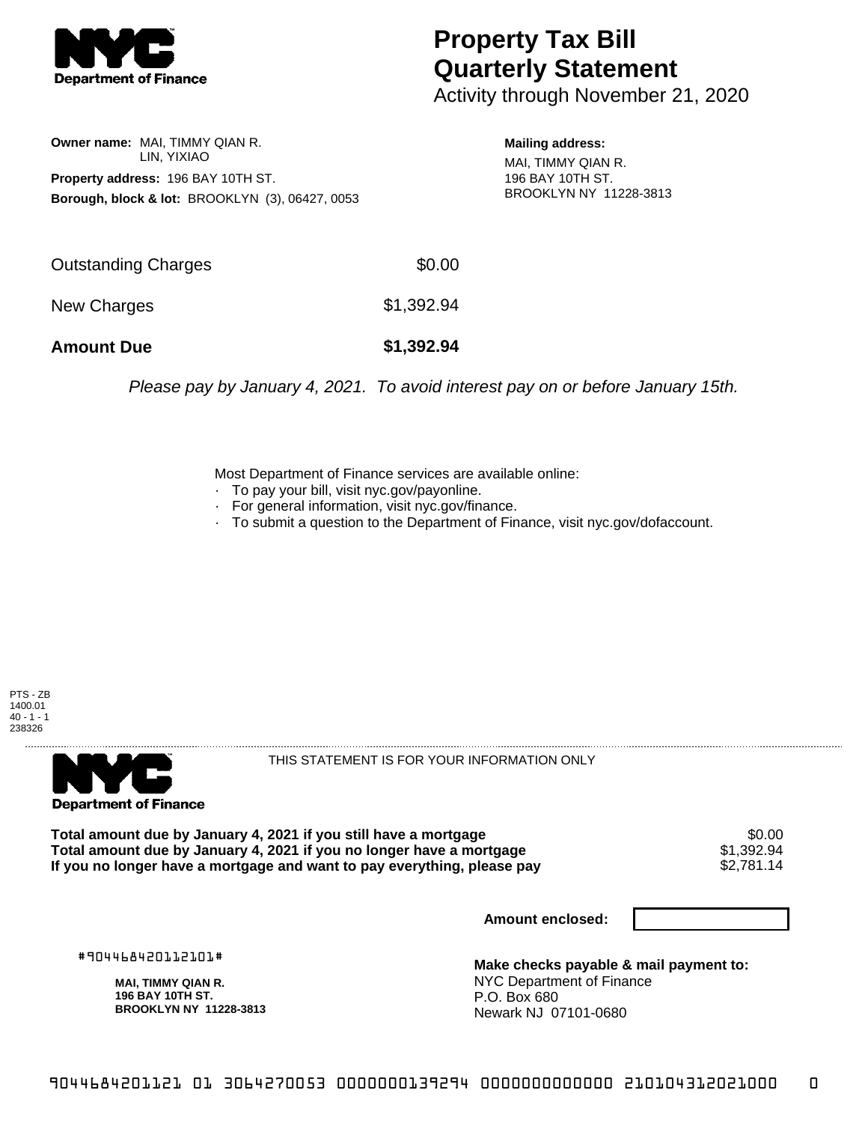

## **Property Tax Bill Quarterly Statement**

Activity through November 21, 2020

**Owner name:** MAI, TIMMY QIAN R. LIN, YIXIAO **Property address:** 196 BAY 10TH ST. **Borough, block & lot:** BROOKLYN (3), 06427, 0053

**Mailing address:** MAI, TIMMY QIAN R. 196 BAY 10TH ST. BROOKLYN NY 11228-3813

| <b>Amount Due</b>   | \$1,392.94 |
|---------------------|------------|
| New Charges         | \$1,392.94 |
| Outstanding Charges | \$0.00     |

Please pay by January 4, 2021. To avoid interest pay on or before January 15th.

Most Department of Finance services are available online:

- · To pay your bill, visit nyc.gov/payonline.
- For general information, visit nyc.gov/finance.
- · To submit a question to the Department of Finance, visit nyc.gov/dofaccount.





THIS STATEMENT IS FOR YOUR INFORMATION ONLY

Total amount due by January 4, 2021 if you still have a mortgage \$0.00<br>Total amount due by January 4, 2021 if you no longer have a mortgage \$1.392.94 **Total amount due by January 4, 2021 if you no longer have a mortgage \$1,392.94<br>If you no longer have a mortgage and want to pay everything, please pay \$2,781.14** If you no longer have a mortgage and want to pay everything, please pay

**Amount enclosed:**

#904468420112101#

**MAI, TIMMY QIAN R. 196 BAY 10TH ST. BROOKLYN NY 11228-3813**

**Make checks payable & mail payment to:** NYC Department of Finance P.O. Box 680 Newark NJ 07101-0680